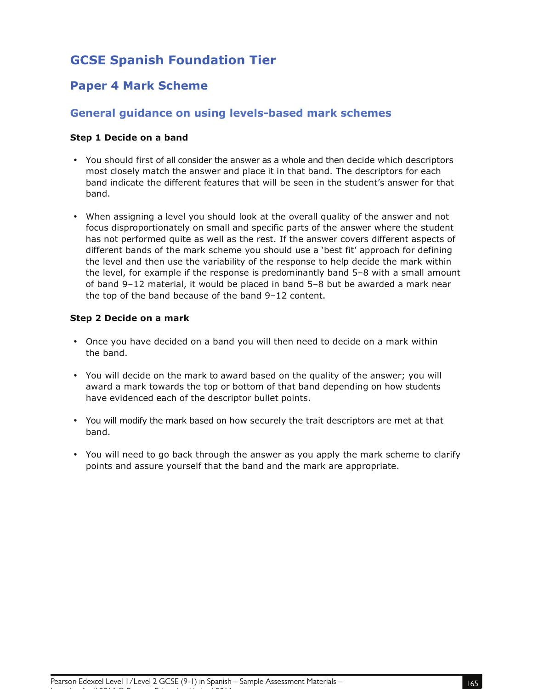# **GCSE Spanish Foundation Tier**

## **Paper 4 Mark Scheme**

## **General guidance on using levels-based mark schemes**

### **Step 1 Decide on a band**

- You should first of all consider the answer as a whole and then decide which descriptors most closely match the answer and place it in that band. The descriptors for each band indicate the different features that will be seen in the student's answer for that band.
- When assigning a level you should look at the overall quality of the answer and not focus disproportionately on small and specific parts of the answer where the student has not performed quite as well as the rest. If the answer covers different aspects of different bands of the mark scheme you should use a 'best fit' approach for defining the level and then use the variability of the response to help decide the mark within the level, for example if the response is predominantly band 5–8 with a small amount of band 9–12 material, it would be placed in band 5–8 but be awarded a mark near the top of the band because of the band 9–12 content.

#### **Step 2 Decide on a mark**

- Once you have decided on a band you will then need to decide on a mark within the band.
- You will decide on the mark to award based on the quality of the answer; you will award a mark towards the top or bottom of that band depending on how students have evidenced each of the descriptor bullet points.
- You will modify the mark based on how securely the trait descriptors are met at that band.
- You will need to go back through the answer as you apply the mark scheme to clarify points and assure yourself that the band and the mark are appropriate.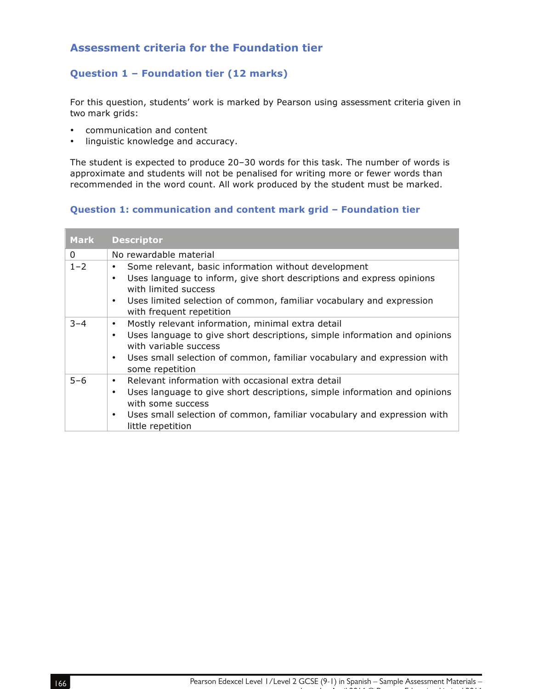## **Assessment criteria for the Foundation tier**

## **Question 1 – Foundation tier (12 marks)**

For this question, students' work is marked by Pearson using assessment criteria given in two mark grids:

- communication and content
- linguistic knowledge and accuracy.

The student is expected to produce 20–30 words for this task. The number of words is approximate and students will not be penalised for writing more or fewer words than recommended in the word count. All work produced by the student must be marked.

## **Question 1: communication and content mark grid – Foundation tier**

| <b>Mark</b>  | <b>Descriptor</b>                                                                                               |
|--------------|-----------------------------------------------------------------------------------------------------------------|
| $\mathbf{0}$ | No rewardable material                                                                                          |
| $1 - 2$      | Some relevant, basic information without development<br>٠                                                       |
|              | Uses language to inform, give short descriptions and express opinions<br>$\bullet$<br>with limited success      |
|              | Uses limited selection of common, familiar vocabulary and expression<br>$\bullet$<br>with frequent repetition   |
| $3 - 4$      | Mostly relevant information, minimal extra detail<br>٠                                                          |
|              | Uses language to give short descriptions, simple information and opinions<br>$\bullet$<br>with variable success |
|              | Uses small selection of common, familiar vocabulary and expression with<br>٠<br>some repetition                 |
| $5 - 6$      | Relevant information with occasional extra detail<br>$\bullet$                                                  |
|              | Uses language to give short descriptions, simple information and opinions<br>$\bullet$<br>with some success     |
|              | Uses small selection of common, familiar vocabulary and expression with<br>$\bullet$<br>little repetition       |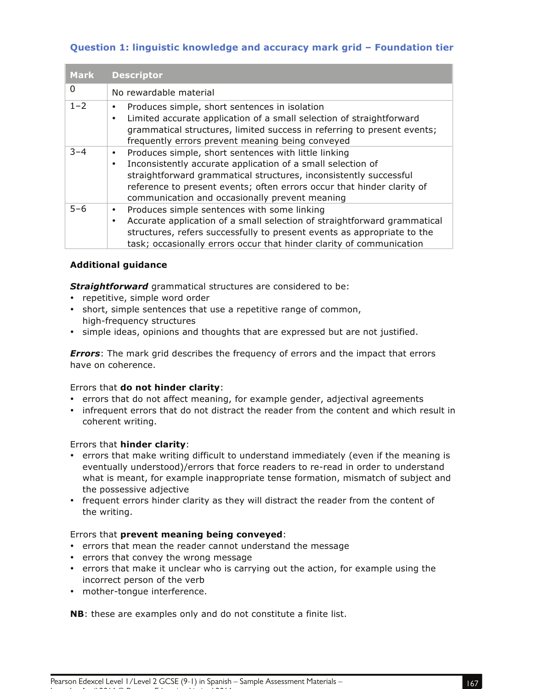## **Question 1: linguistic knowledge and accuracy mark grid – Foundation tier**

| <b>Mark</b> | <b>Descriptor</b>                                                                                                                                                                                                                                                                                                                              |
|-------------|------------------------------------------------------------------------------------------------------------------------------------------------------------------------------------------------------------------------------------------------------------------------------------------------------------------------------------------------|
| $\Omega$    | No rewardable material                                                                                                                                                                                                                                                                                                                         |
| $1 - 2$     | Produces simple, short sentences in isolation<br>٠<br>Limited accurate application of a small selection of straightforward<br>$\bullet$<br>grammatical structures, limited success in referring to present events;<br>frequently errors prevent meaning being conveyed                                                                         |
| $3 - 4$     | Produces simple, short sentences with little linking<br>$\bullet$<br>Inconsistently accurate application of a small selection of<br>$\bullet$<br>straightforward grammatical structures, inconsistently successful<br>reference to present events; often errors occur that hinder clarity of<br>communication and occasionally prevent meaning |
| $5 - 6$     | Produces simple sentences with some linking<br>$\bullet$<br>Accurate application of a small selection of straightforward grammatical<br>$\bullet$<br>structures, refers successfully to present events as appropriate to the<br>task; occasionally errors occur that hinder clarity of communication                                           |

## **Additional guidance**

*Straightforward* grammatical structures are considered to be:

- repetitive, simple word order
- short, simple sentences that use a repetitive range of common, high-frequency structures
- simple ideas, opinions and thoughts that are expressed but are not justified.

*Errors*: The mark grid describes the frequency of errors and the impact that errors have on coherence.

## Errors that **do not hinder clarity**:

- errors that do not affect meaning, for example gender, adjectival agreements
- infrequent errors that do not distract the reader from the content and which result in coherent writing.

#### Errors that **hinder clarity**:

- errors that make writing difficult to understand immediately (even if the meaning is eventually understood)/errors that force readers to re-read in order to understand what is meant, for example inappropriate tense formation, mismatch of subject and the possessive adjective
- frequent errors hinder clarity as they will distract the reader from the content of the writing.

#### Errors that **prevent meaning being conveyed**:

- errors that mean the reader cannot understand the message
- errors that convey the wrong message
- errors that make it unclear who is carrying out the action, for example using the incorrect person of the verb
- mother-tongue interference.

Issue 1 – April 2016 © Pearson Education Limited 2016

**NB**: these are examples only and do not constitute a finite list.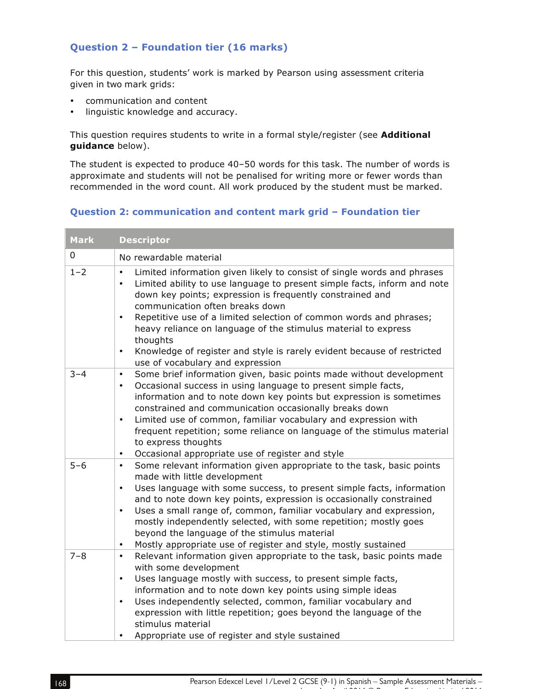## **Question 2 – Foundation tier (16 marks)**

For this question, students' work is marked by Pearson using assessment criteria given in two mark grids:

- communication and content
- linguistic knowledge and accuracy.

This question requires students to write in a formal style/register (see **Additional guidance** below).

The student is expected to produce 40–50 words for this task. The number of words is approximate and students will not be penalised for writing more or fewer words than recommended in the word count. All work produced by the student must be marked.

#### **Question 2: communication and content mark grid – Foundation tier**

| <b>Mark</b> | <b>Descriptor</b>                                                                                                                                                                                                                                                                                                                                                                                                                                                                                                                                                                                                         |
|-------------|---------------------------------------------------------------------------------------------------------------------------------------------------------------------------------------------------------------------------------------------------------------------------------------------------------------------------------------------------------------------------------------------------------------------------------------------------------------------------------------------------------------------------------------------------------------------------------------------------------------------------|
| 0           | No rewardable material                                                                                                                                                                                                                                                                                                                                                                                                                                                                                                                                                                                                    |
| $1 - 2$     | Limited information given likely to consist of single words and phrases<br>$\bullet$<br>Limited ability to use language to present simple facts, inform and note<br>$\bullet$<br>down key points; expression is frequently constrained and<br>communication often breaks down<br>Repetitive use of a limited selection of common words and phrases;<br>$\bullet$<br>heavy reliance on language of the stimulus material to express<br>thoughts<br>Knowledge of register and style is rarely evident because of restricted<br>$\bullet$<br>use of vocabulary and expression                                                |
| $3 - 4$     | Some brief information given, basic points made without development<br>$\bullet$<br>Occasional success in using language to present simple facts,<br>$\bullet$<br>information and to note down key points but expression is sometimes<br>constrained and communication occasionally breaks down<br>Limited use of common, familiar vocabulary and expression with<br>$\bullet$<br>frequent repetition; some reliance on language of the stimulus material<br>to express thoughts<br>$\bullet$                                                                                                                             |
| $5 - 6$     | Occasional appropriate use of register and style<br>Some relevant information given appropriate to the task, basic points<br>$\bullet$<br>made with little development<br>Uses language with some success, to present simple facts, information<br>$\bullet$<br>and to note down key points, expression is occasionally constrained<br>Uses a small range of, common, familiar vocabulary and expression,<br>$\bullet$<br>mostly independently selected, with some repetition; mostly goes<br>beyond the language of the stimulus material<br>Mostly appropriate use of register and style, mostly sustained<br>$\bullet$ |
| $7 - 8$     | Relevant information given appropriate to the task, basic points made<br>$\bullet$<br>with some development<br>Uses language mostly with success, to present simple facts,<br>$\bullet$<br>information and to note down key points using simple ideas<br>Uses independently selected, common, familiar vocabulary and<br>$\bullet$<br>expression with little repetition; goes beyond the language of the<br>stimulus material<br>Appropriate use of register and style sustained<br>$\bullet$                                                                                                                             |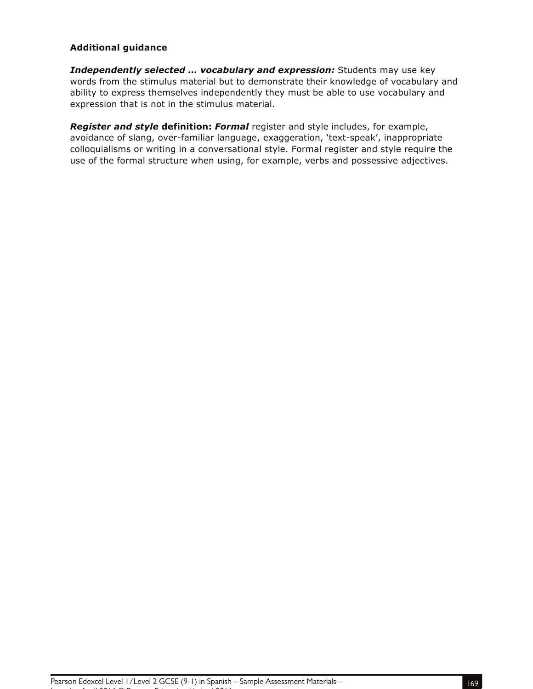#### **Additional guidance**

*Independently selected … vocabulary and expression:* Students may use key words from the stimulus material but to demonstrate their knowledge of vocabulary and ability to express themselves independently they must be able to use vocabulary and expression that is not in the stimulus material.

*Register and style* **definition:** *Formal* register and style includes, for example, avoidance of slang, over-familiar language, exaggeration, 'text-speak', inappropriate colloquialisms or writing in a conversational style. Formal register and style require the use of the formal structure when using, for example, verbs and possessive adjectives.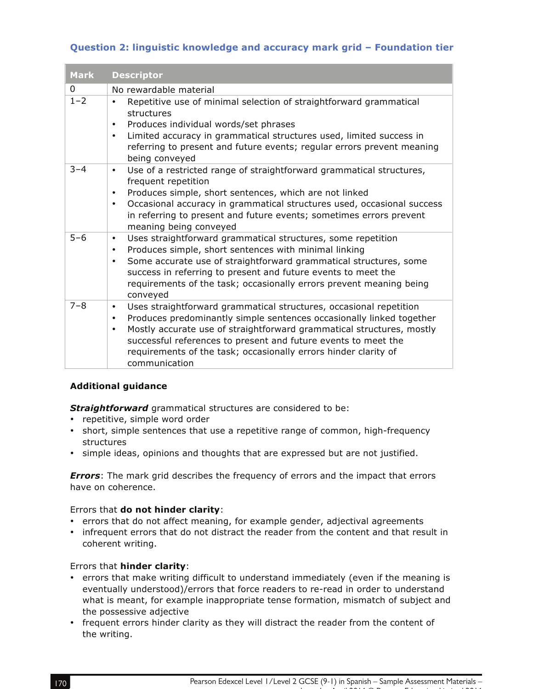## **Question 2: linguistic knowledge and accuracy mark grid – Foundation tier**

| <b>Mark</b> | <b>Descriptor</b>                                                                                                                                                                                                                                                                                                                                                                                                |
|-------------|------------------------------------------------------------------------------------------------------------------------------------------------------------------------------------------------------------------------------------------------------------------------------------------------------------------------------------------------------------------------------------------------------------------|
| $\Omega$    | No rewardable material                                                                                                                                                                                                                                                                                                                                                                                           |
| $1 - 2$     | Repetitive use of minimal selection of straightforward grammatical<br>$\bullet$<br>structures<br>Produces individual words/set phrases<br>٠<br>Limited accuracy in grammatical structures used, limited success in<br>$\bullet$<br>referring to present and future events; regular errors prevent meaning<br>being conveyed                                                                                      |
| $3 - 4$     | Use of a restricted range of straightforward grammatical structures,<br>$\bullet$<br>frequent repetition<br>Produces simple, short sentences, which are not linked<br>$\bullet$<br>Occasional accuracy in grammatical structures used, occasional success<br>$\bullet$<br>in referring to present and future events; sometimes errors prevent<br>meaning being conveyed                                          |
| $5 - 6$     | Uses straightforward grammatical structures, some repetition<br>$\bullet$<br>Produces simple, short sentences with minimal linking<br>$\bullet$<br>Some accurate use of straightforward grammatical structures, some<br>$\bullet$<br>success in referring to present and future events to meet the<br>requirements of the task; occasionally errors prevent meaning being<br>conveyed                            |
| $7 - 8$     | Uses straightforward grammatical structures, occasional repetition<br>$\bullet$<br>Produces predominantly simple sentences occasionally linked together<br>$\bullet$<br>Mostly accurate use of straightforward grammatical structures, mostly<br>$\bullet$<br>successful references to present and future events to meet the<br>requirements of the task; occasionally errors hinder clarity of<br>communication |

#### **Additional guidance**

**Straightforward** grammatical structures are considered to be:

- repetitive, simple word order
- short, simple sentences that use a repetitive range of common, high-frequency structures
- simple ideas, opinions and thoughts that are expressed but are not justified.

*Errors*: The mark grid describes the frequency of errors and the impact that errors have on coherence.

## Errors that **do not hinder clarity**:

- errors that do not affect meaning, for example gender, adjectival agreements
- infrequent errors that do not distract the reader from the content and that result in coherent writing.

## Errors that **hinder clarity**:

- errors that make writing difficult to understand immediately (even if the meaning is eventually understood)/errors that force readers to re-read in order to understand what is meant, for example inappropriate tense formation, mismatch of subject and the possessive adjective
- frequent errors hinder clarity as they will distract the reader from the content of the writing.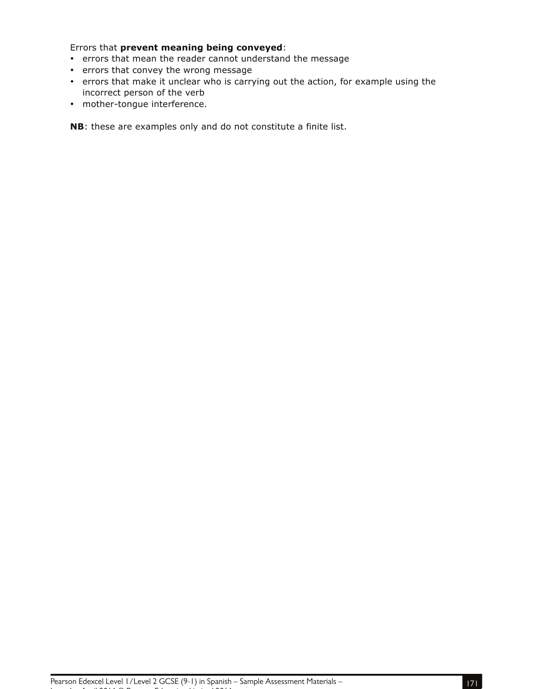Errors that **prevent meaning being conveyed**:

- errors that mean the reader cannot understand the message
- errors that convey the wrong message
- errors that make it unclear who is carrying out the action, for example using the incorrect person of the verb
- mother-tongue interference.

**NB**: these are examples only and do not constitute a finite list.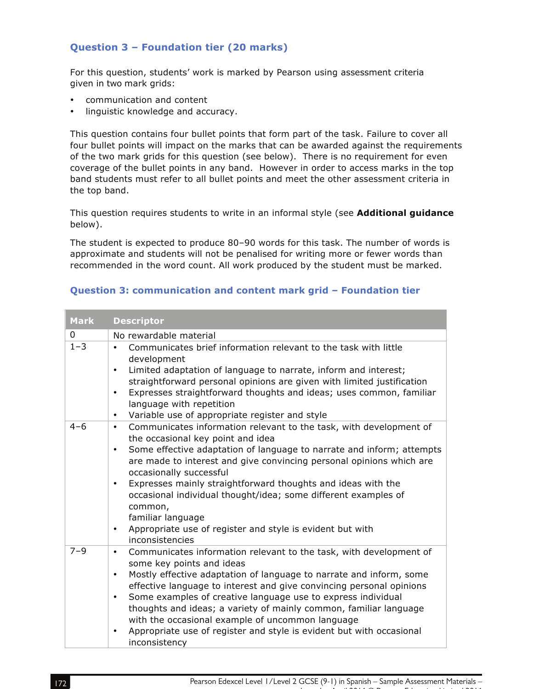## **Question 3 – Foundation tier (20 marks)**

For this question, students' work is marked by Pearson using assessment criteria given in two mark grids:

- communication and content
- linguistic knowledge and accuracy.

This question contains four bullet points that form part of the task. Failure to cover all four bullet points will impact on the marks that can be awarded against the requirements of the two mark grids for this question (see below). There is no requirement for even coverage of the bullet points in any band. However in order to access marks in the top band students must refer to all bullet points and meet the other assessment criteria in the top band.

This question requires students to write in an informal style (see **Additional guidance** below).

The student is expected to produce 80–90 words for this task. The number of words is approximate and students will not be penalised for writing more or fewer words than recommended in the word count. All work produced by the student must be marked.

#### **Question 3: communication and content mark grid – Foundation tier**

| <b>Mark</b> | <b>Descriptor</b>                                                                                                                                                                                                                                                                                                                                                                                                                                                                                                                                                                         |
|-------------|-------------------------------------------------------------------------------------------------------------------------------------------------------------------------------------------------------------------------------------------------------------------------------------------------------------------------------------------------------------------------------------------------------------------------------------------------------------------------------------------------------------------------------------------------------------------------------------------|
| 0           | No rewardable material                                                                                                                                                                                                                                                                                                                                                                                                                                                                                                                                                                    |
| $1 - 3$     | Communicates brief information relevant to the task with little<br>$\bullet$<br>development<br>Limited adaptation of language to narrate, inform and interest;<br>$\bullet$<br>straightforward personal opinions are given with limited justification<br>Expresses straightforward thoughts and ideas; uses common, familiar<br>$\bullet$<br>language with repetition<br>Variable use of appropriate register and style<br>$\bullet$                                                                                                                                                      |
| $4 - 6$     | Communicates information relevant to the task, with development of<br>$\bullet$<br>the occasional key point and idea<br>Some effective adaptation of language to narrate and inform; attempts<br>$\bullet$<br>are made to interest and give convincing personal opinions which are<br>occasionally successful<br>Expresses mainly straightforward thoughts and ideas with the<br>$\bullet$<br>occasional individual thought/idea; some different examples of<br>common,<br>familiar language<br>Appropriate use of register and style is evident but with<br>$\bullet$<br>inconsistencies |
| $7 - 9$     | Communicates information relevant to the task, with development of<br>$\bullet$<br>some key points and ideas<br>Mostly effective adaptation of language to narrate and inform, some<br>$\bullet$<br>effective language to interest and give convincing personal opinions<br>Some examples of creative language use to express individual<br>$\bullet$<br>thoughts and ideas; a variety of mainly common, familiar language<br>with the occasional example of uncommon language<br>Appropriate use of register and style is evident but with occasional<br>٠<br>inconsistency              |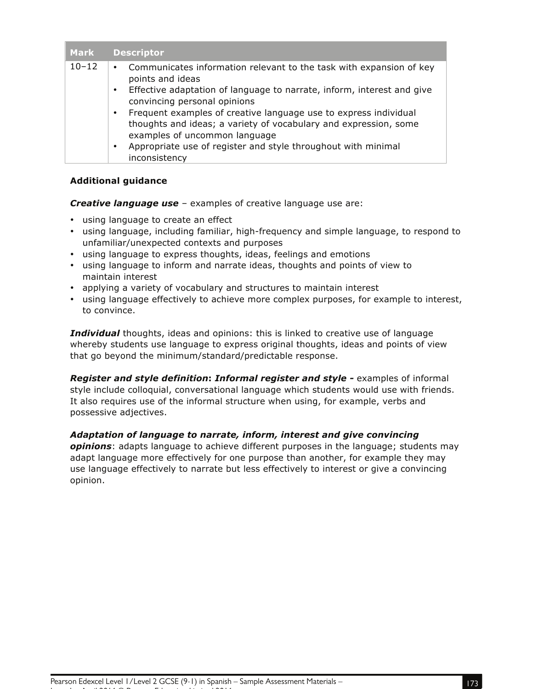| <b>Mark</b> | <b>Descriptor</b>                                                                                                                                                                  |
|-------------|------------------------------------------------------------------------------------------------------------------------------------------------------------------------------------|
| $10 - 12$   | Communicates information relevant to the task with expansion of key<br>$\bullet$<br>points and ideas                                                                               |
|             | Effective adaptation of language to narrate, inform, interest and give<br>$\bullet$<br>convincing personal opinions                                                                |
|             | Frequent examples of creative language use to express individual<br>$\bullet$<br>thoughts and ideas; a variety of vocabulary and expression, some<br>examples of uncommon language |
|             | Appropriate use of register and style throughout with minimal<br>٠<br>inconsistency                                                                                                |

#### **Additional guidance**

*Creative language use* – examples of creative language use are:

- using language to create an effect
- using language, including familiar, high-frequency and simple language, to respond to unfamiliar/unexpected contexts and purposes
- using language to express thoughts, ideas, feelings and emotions
- using language to inform and narrate ideas, thoughts and points of view to maintain interest
- applying a variety of vocabulary and structures to maintain interest
- using language effectively to achieve more complex purposes, for example to interest, to convince.

*Individual* thoughts, ideas and opinions: this is linked to creative use of language whereby students use language to express original thoughts, ideas and points of view that go beyond the minimum/standard/predictable response.

*Register and style definition***:** *Informal register and style -* examples of informal style include colloquial, conversational language which students would use with friends. It also requires use of the informal structure when using, for example, verbs and possessive adjectives.

## *Adaptation of language to narrate, inform, interest and give convincing*

*opinions*: adapts language to achieve different purposes in the language; students may adapt language more effectively for one purpose than another, for example they may use language effectively to narrate but less effectively to interest or give a convincing opinion.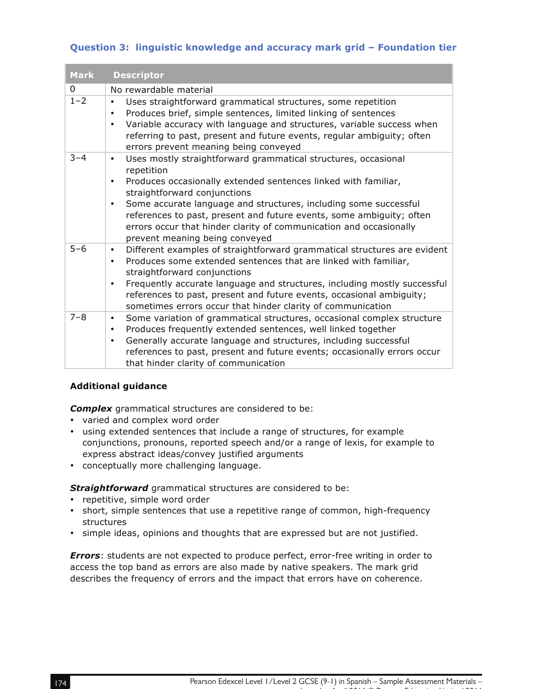## **Question 3: linguistic knowledge and accuracy mark grid – Foundation tier**

| <b>Mark</b> | <b>Descriptor</b>                                                                                                                                                                                                                                                                                                                                                     |
|-------------|-----------------------------------------------------------------------------------------------------------------------------------------------------------------------------------------------------------------------------------------------------------------------------------------------------------------------------------------------------------------------|
| 0           | No rewardable material                                                                                                                                                                                                                                                                                                                                                |
| $1 - 2$     | Uses straightforward grammatical structures, some repetition<br>$\bullet$<br>Produces brief, simple sentences, limited linking of sentences<br>$\bullet$<br>Variable accuracy with language and structures, variable success when<br>$\bullet$<br>referring to past, present and future events, regular ambiguity; often<br>errors prevent meaning being conveyed     |
| $3 - 4$     | Uses mostly straightforward grammatical structures, occasional<br>$\bullet$<br>repetition<br>Produces occasionally extended sentences linked with familiar,<br>$\bullet$<br>straightforward conjunctions<br>Some accurate language and structures, including some successful<br>٠<br>references to past, present and future events, some ambiguity; often             |
|             | errors occur that hinder clarity of communication and occasionally<br>prevent meaning being conveyed                                                                                                                                                                                                                                                                  |
| $5 - 6$     | Different examples of straightforward grammatical structures are evident<br>$\bullet$<br>Produces some extended sentences that are linked with familiar,<br>$\bullet$<br>straightforward conjunctions<br>Frequently accurate language and structures, including mostly successful<br>$\bullet$                                                                        |
|             | references to past, present and future events, occasional ambiguity;<br>sometimes errors occur that hinder clarity of communication                                                                                                                                                                                                                                   |
| $7 - 8$     | Some variation of grammatical structures, occasional complex structure<br>$\bullet$<br>Produces frequently extended sentences, well linked together<br>$\bullet$<br>Generally accurate language and structures, including successful<br>$\bullet$<br>references to past, present and future events; occasionally errors occur<br>that hinder clarity of communication |

#### **Additional guidance**

*Complex* grammatical structures are considered to be:

- varied and complex word order
- using extended sentences that include a range of structures, for example conjunctions, pronouns, reported speech and/or a range of lexis, for example to express abstract ideas/convey justified arguments
- conceptually more challenging language.

*Straightforward* grammatical structures are considered to be:

- repetitive, simple word order
- short, simple sentences that use a repetitive range of common, high-frequency structures
- simple ideas, opinions and thoughts that are expressed but are not justified.

*Errors*: students are not expected to produce perfect, error-free writing in order to access the top band as errors are also made by native speakers. The mark grid describes the frequency of errors and the impact that errors have on coherence.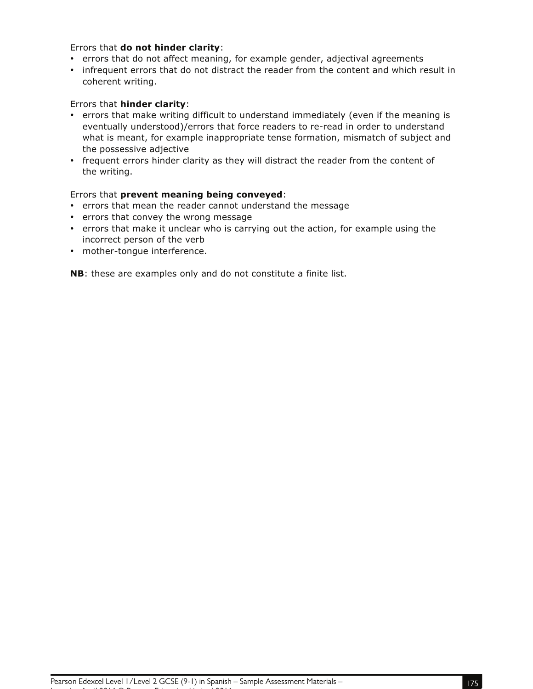### Errors that **do not hinder clarity**:

- errors that do not affect meaning, for example gender, adjectival agreements
- infrequent errors that do not distract the reader from the content and which result in coherent writing.

#### Errors that **hinder clarity**:

- errors that make writing difficult to understand immediately (even if the meaning is eventually understood)/errors that force readers to re-read in order to understand what is meant, for example inappropriate tense formation, mismatch of subject and the possessive adjective
- frequent errors hinder clarity as they will distract the reader from the content of the writing.

#### Errors that **prevent meaning being conveyed**:

- errors that mean the reader cannot understand the message
- errors that convey the wrong message
- errors that make it unclear who is carrying out the action, for example using the incorrect person of the verb
- mother-tongue interference.

**NB**: these are examples only and do not constitute a finite list.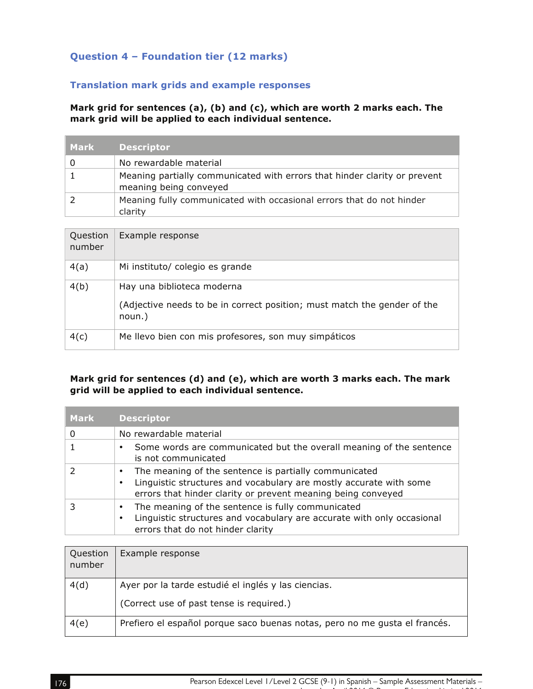## **Question 4 – Foundation tier (12 marks)**

## **Translation mark grids and example responses**

### **Mark grid for sentences (a), (b) and (c), which are worth 2 marks each. The mark grid will be applied to each individual sentence.**

| Mark' | <b>Descriptor</b>                                                                                   |
|-------|-----------------------------------------------------------------------------------------------------|
|       | No rewardable material                                                                              |
|       | Meaning partially communicated with errors that hinder clarity or prevent<br>meaning being conveyed |
|       | Meaning fully communicated with occasional errors that do not hinder<br>clarity                     |

| Question<br>number | Example response                                                                                                 |
|--------------------|------------------------------------------------------------------------------------------------------------------|
| 4(a)               | Mi instituto/ colegio es grande                                                                                  |
| 4(b)               | Hay una biblioteca moderna<br>(Adjective needs to be in correct position; must match the gender of the<br>noun.) |
| 4(c)               | Me llevo bien con mis profesores, son muy simpáticos                                                             |

## **Mark grid for sentences (d) and (e), which are worth 3 marks each. The mark grid will be applied to each individual sentence.**

| Mark | <b>Descriptor</b>                                                                                                                                                                                     |
|------|-------------------------------------------------------------------------------------------------------------------------------------------------------------------------------------------------------|
| 0    | No rewardable material                                                                                                                                                                                |
|      | Some words are communicated but the overall meaning of the sentence<br>is not communicated                                                                                                            |
|      | The meaning of the sentence is partially communicated<br>٠<br>Linguistic structures and vocabulary are mostly accurate with some<br>٠<br>errors that hinder clarity or prevent meaning being conveyed |
|      | The meaning of the sentence is fully communicated<br>٠<br>Linguistic structures and vocabulary are accurate with only occasional<br>٠<br>errors that do not hinder clarity                            |

| Question<br>number | Example response                                                           |
|--------------------|----------------------------------------------------------------------------|
| 4(d)               | Ayer por la tarde estudié el inglés y las ciencias.                        |
|                    | (Correct use of past tense is required.)                                   |
| 4(e)               | Prefiero el español porque saco buenas notas, pero no me gusta el francés. |